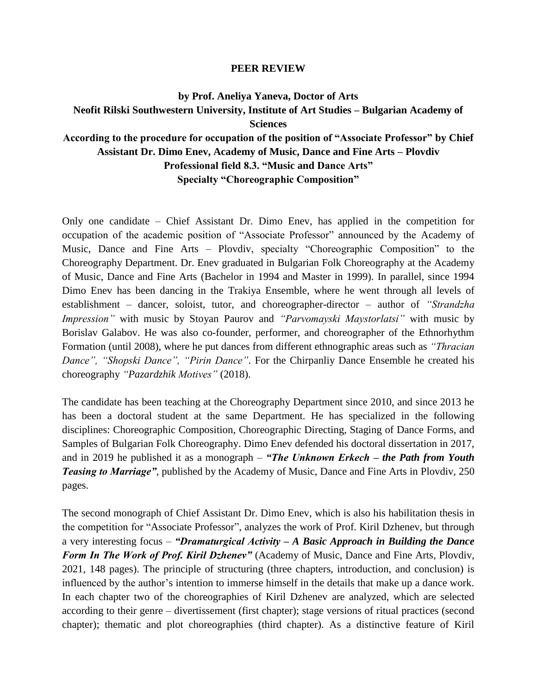## **PEER REVIEW**

## **by Prof. Aneliya Yaneva, Doctor of Arts Neofit Rilski Southwestern University, Institute of Art Studies – Bulgarian Academy of Sciences According to the procedure for occupation of the position of "Associate Professor" by Chief Assistant Dr. Dimo Enev, Academy of Music, Dance and Fine Arts – Plovdiv Professional field 8.3. "Music and Dance Arts" Specialty "Choreographic Composition"**

Only one candidate – Chief Assistant Dr. Dimo Enev, has applied in the competition for occupation of the academic position of "Associate Professor" announced by the Academy of Music, Dance and Fine Arts – Plovdiv, specialty "Choreographic Composition" to the Choreography Department. Dr. Enev graduated in Bulgarian Folk Choreography at the Academy of Music, Dance and Fine Arts (Bachelor in 1994 and Master in 1999). In parallel, since 1994 Dimo Enev has been dancing in the Trakiya Ensemble, where he went through all levels of establishment – dancer, soloist, tutor, and choreographer-director – author of *"Strandzha Impression"* with music by Stoyan Paurov and *"Parvomayski Maystorlatsi"* with music by Borislav Galabov. He was also co-founder, performer, and choreographer of the Ethnorhythm Formation (until 2008), where he put dances from different ethnographic areas such as *"Thracian Dance", "Shopski Dance", "Pirin Dance"*. For the Chirpanliy Dance Ensemble he created his choreography *"Pazardzhik Motives"* (2018).

The candidate has been teaching at the Choreography Department since 2010, and since 2013 he has been a doctoral student at the same Department. He has specialized in the following disciplines: Choreographic Composition, Choreographic Directing, Staging of Dance Forms, and Samples of Bulgarian Folk Choreography. Dimo Enev defended his doctoral dissertation in 2017, and in 2019 he published it as a monograph – *"The Unknown Erkech – the Path from Youth Teasing to Marriage"*, published by the Academy of Music, Dance and Fine Arts in Plovdiv, 250 pages.

The second monograph of Chief Assistant Dr. Dimo Enev, which is also his habilitation thesis in the competition for "Associate Professor", analyzes the work of Prof. Kiril Dzhenev, but through a very interesting focus – *"Dramaturgical Activity – A Basic Approach in Building the Dance Form In The Work of Prof. Kiril Dzhenev"* (Academy of Music, Dance and Fine Arts, Plovdiv, 2021, 148 pages). The principle of structuring (three chapters, introduction, and conclusion) is influenced by the author's intention to immerse himself in the details that make up a dance work. In each chapter two of the choreographies of Kiril Dzhenev are analyzed, which are selected according to their genre – divertissement (first chapter); stage versions of ritual practices (second chapter); thematic and plot choreographies (third chapter). As a distinctive feature of Kiril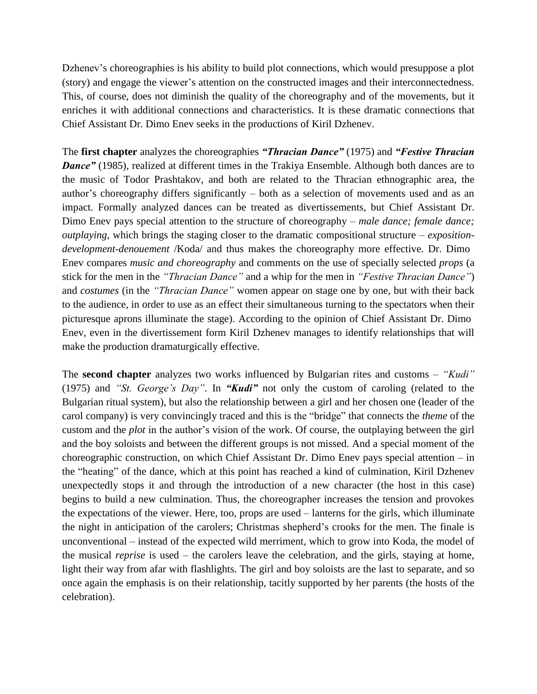Dzhenev's choreographies is his ability to build plot connections, which would presuppose a plot (story) and engage the viewer's attention on the constructed images and their interconnectedness. This, of course, does not diminish the quality of the choreography and of the movements, but it enriches it with additional connections and characteristics. It is these dramatic connections that Chief Assistant Dr. Dimo Enev seeks in the productions of Kiril Dzhenev.

The **first chapter** analyzes the choreographies *"Thracian Dance"* (1975) and *"Festive Thracian*  **Dance"** (1985), realized at different times in the Trakiya Ensemble. Although both dances are to the music of Todor Prashtakov, and both are related to the Thracian ethnographic area, the author's choreography differs significantly – both as a selection of movements used and as an impact. Formally analyzed dances can be treated as divertissements, but Chief Assistant Dr. Dimo Enev pays special attention to the structure of choreography – *male dance; female dance; outplaying*, which brings the staging closer to the dramatic compositional structure – *expositiondevelopment-denouement* /Koda/ and thus makes the choreography more effective. Dr. Dimo Enev compares *music and choreography* and comments on the use of specially selected *props* (a stick for the men in the *"Thracian Dance"* and a whip for the men in *"Festive Thracian Dance"*) and *costumes* (in the *"Thracian Dance"* women appear on stage one by one, but with their back to the audience, in order to use as an effect their simultaneous turning to the spectators when their picturesque aprons illuminate the stage). According to the opinion of Chief Assistant Dr. Dimo Enev, even in the divertissement form Kiril Dzhenev manages to identify relationships that will make the production dramaturgically effective.

The **second chapter** analyzes two works influenced by Bulgarian rites and customs – *"Kudi"* (1975) and *"St. George's Day"*. In *"Kudi"* not only the custom of caroling (related to the Bulgarian ritual system), but also the relationship between a girl and her chosen one (leader of the carol company) is very convincingly traced and this is the "bridge" that connects the *theme* of the custom and the *plot* in the author's vision of the work. Of course, the outplaying between the girl and the boy soloists and between the different groups is not missed. And a special moment of the choreographic construction, on which Chief Assistant Dr. Dimo Enev pays special attention – in the "heating" of the dance, which at this point has reached a kind of culmination, Kiril Dzhenev unexpectedly stops it and through the introduction of a new character (the host in this case) begins to build a new culmination. Thus, the choreographer increases the tension and provokes the expectations of the viewer. Here, too, props are used – lanterns for the girls, which illuminate the night in anticipation of the carolers; Christmas shepherd's crooks for the men. The finale is unconventional – instead of the expected wild merriment, which to grow into Koda, the model of the musical *reprise* is used – the carolers leave the celebration, and the girls, staying at home, light their way from afar with flashlights. The girl and boy soloists are the last to separate, and so once again the emphasis is on their relationship, tacitly supported by her parents (the hosts of the celebration).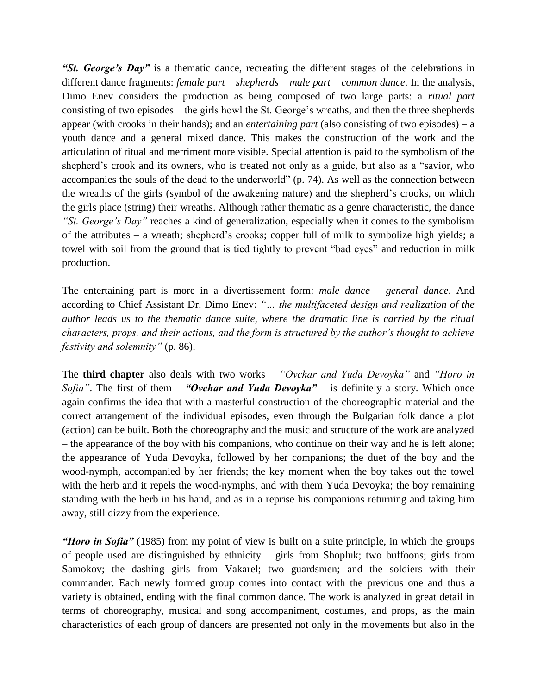*"St. George's Day"* is a thematic dance, recreating the different stages of the celebrations in different dance fragments: *female part – shepherds – male part – common dance*. In the analysis, Dimo Enev considers the production as being composed of two large parts: a *ritual part* consisting of two episodes – the girls howl the St. George's wreaths, and then the three shepherds appear (with crooks in their hands); and an *entertaining part* (also consisting of two episodes) – a youth dance and a general mixed dance. This makes the construction of the work and the articulation of ritual and merriment more visible. Special attention is paid to the symbolism of the shepherd's crook and its owners, who is treated not only as a guide, but also as a "savior, who accompanies the souls of the dead to the underworld" (p. 74). As well as the connection between the wreaths of the girls (symbol of the awakening nature) and the shepherd's crooks, on which the girls place (string) their wreaths. Although rather thematic as a genre characteristic, the dance *"St. George's Day"* reaches a kind of generalization, especially when it comes to the symbolism of the attributes – a wreath; shepherd's crooks; copper full of milk to symbolize high yields; a towel with soil from the ground that is tied tightly to prevent "bad eyes" and reduction in milk production.

The entertaining part is more in a divertissement form: *male dance – general dance*. And according to Chief Assistant Dr. Dimo Enev: *"… the multifaceted design and realization of the author leads us to the thematic dance suite, where the dramatic line is carried by the ritual characters, props, and their actions, and the form is structured by the author's thought to achieve festivity and solemnity"* (p. 86).

The **third chapter** also deals with two works – *"Ovchar and Yuda Devoyka"* and *"Horo in Sofia"*. The first of them – *"Ovchar and Yuda Devoyka"* – is definitely a story. Which once again confirms the idea that with a masterful construction of the choreographic material and the correct arrangement of the individual episodes, even through the Bulgarian folk dance a plot (action) can be built. Both the choreography and the music and structure of the work are analyzed – the appearance of the boy with his companions, who continue on their way and he is left alone; the appearance of Yuda Devoyka, followed by her companions; the duet of the boy and the wood-nymph, accompanied by her friends; the key moment when the boy takes out the towel with the herb and it repels the wood-nymphs, and with them Yuda Devoyka; the boy remaining standing with the herb in his hand, and as in a reprise his companions returning and taking him away, still dizzy from the experience.

*"Horo in Sofia"* (1985) from my point of view is built on a suite principle, in which the groups of people used are distinguished by ethnicity – girls from Shopluk; two buffoons; girls from Samokov; the dashing girls from Vakarel; two guardsmen; and the soldiers with their commander. Each newly formed group comes into contact with the previous one and thus a variety is obtained, ending with the final common dance. The work is analyzed in great detail in terms of choreography, musical and song accompaniment, costumes, and props, as the main characteristics of each group of dancers are presented not only in the movements but also in the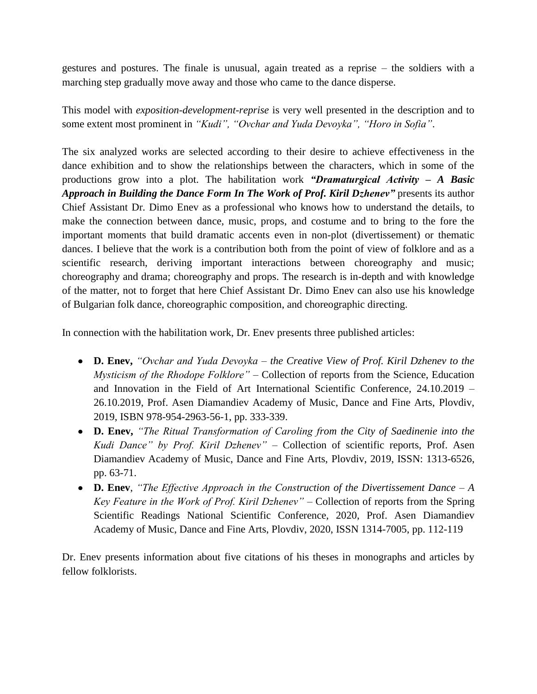gestures and postures. The finale is unusual, again treated as a reprise – the soldiers with a marching step gradually move away and those who came to the dance disperse.

This model with *exposition-development-reprise* is very well presented in the description and to some extent most prominent in *"Kudi", "Ovchar and Yuda Devoyka", "Horo in Sofia"*.

The six analyzed works are selected according to their desire to achieve effectiveness in the dance exhibition and to show the relationships between the characters, which in some of the productions grow into a plot. The habilitation work *"Dramaturgical Activity – A Basic Approach in Building the Dance Form In The Work of Prof. Kiril Dzhenev"* presents its author Chief Assistant Dr. Dimo Enev as a professional who knows how to understand the details, to make the connection between dance, music, props, and costume and to bring to the fore the important moments that build dramatic accents even in non-plot (divertissement) or thematic dances. I believe that the work is a contribution both from the point of view of folklore and as a scientific research, deriving important interactions between choreography and music; choreography and drama; choreography and props. The research is in-depth and with knowledge of the matter, not to forget that here Chief Assistant Dr. Dimo Enev can also use his knowledge of Bulgarian folk dance, choreographic composition, and choreographic directing.

In connection with the habilitation work, Dr. Enev presents three published articles:

- **D. Enev,** *"Ovchar and Yuda Devoyka – the Creative View of Prof. Kiril Dzhenev to the Mysticism of the Rhodope Folklore"* – Collection of reports from the Science, Education and Innovation in the Field of Art International Scientific Conference, 24.10.2019 – 26.10.2019, Prof. Asen Diamandiev Academy of Music, Dance and Fine Arts, Plovdiv, 2019, ISBN 978-954-2963-56-1, pp. 333-339.
- **D. Enev,** *"The Ritual Transformation of Caroling from the City of Saedinenie into the Kudi Dance" by Prof. Kiril Dzhenev" –* Collection of scientific reports, Prof. Asen Diamandiev Academy of Music, Dance and Fine Arts, Plovdiv, 2019, ISSN: 1313-6526, pp. 63-71.
- **D. Enev**, *"The Effective Approach in the Construction of the Divertissement Dance – A Key Feature in the Work of Prof. Kiril Dzhenev" –* Collection of reports from the Spring Scientific Readings National Scientific Conference, 2020, Prof. Asen Diamandiev Academy of Music, Dance and Fine Arts, Plovdiv, 2020, ISSN 1314-7005, pp. 112-119

Dr. Enev presents information about five citations of his theses in monographs and articles by fellow folklorists.